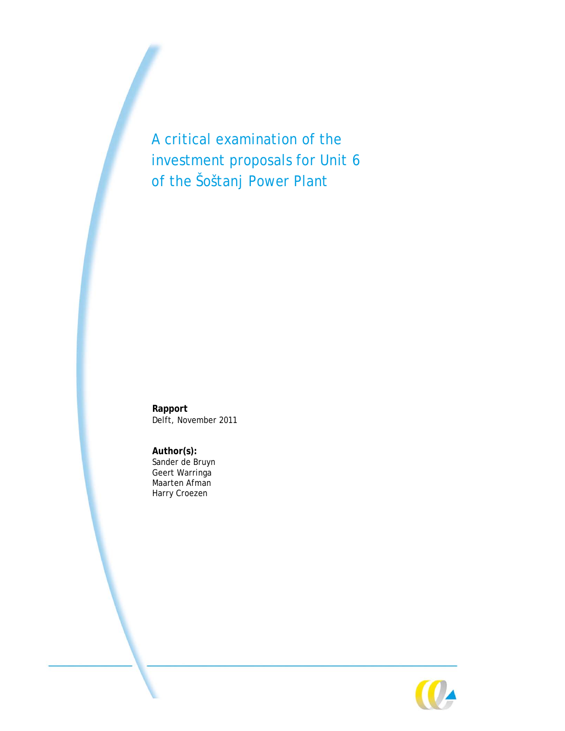A critical examination of the investment proposals for Unit 6 of the Šoštanj Power Plant

**Rapport**  Delft, November 2011

**Author(s):**  Sander de Bruyn Geert Warringa Maarten Afman Harry Croezen

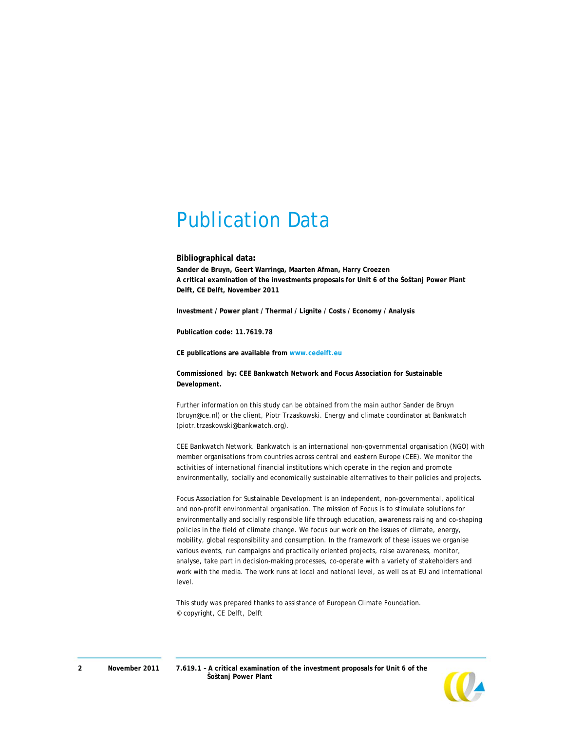### Publication Data

**Bibliographical data:** 

**Sander de Bruyn, Geert Warringa, Maarten Afman, Harry Croezen A critical examination of the investments proposals for Unit 6 of the Šoštanj Power Plant Delft, CE Delft, November 2011** 

**Investment / Power plant / Thermal / Lignite / Costs / Economy / Analysis** 

**Publication code: 11.7619.78** 

**CE publications are available from www.cedelft.eu** 

**Commissioned by: CEE Bankwatch Network and Focus Association for Sustainable Development.** 

Further information on this study can be obtained from the main author Sander de Bruyn (bruyn@ce.nl) or the client, Piotr Trzaskowski. Energy and climate coordinator at Bankwatch (piotr.trzaskowski@bankwatch.org).

CEE Bankwatch Network. Bankwatch is an international non-governmental organisation (NGO) with member organisations from countries across central and eastern Europe (CEE). We monitor the activities of international financial institutions which operate in the region and promote environmentally, socially and economically sustainable alternatives to their policies and projects.

Focus Association for Sustainable Development is an independent, non-governmental, apolitical and non-profit environmental organisation. The mission of Focus is to stimulate solutions for environmentally and socially responsible life through education, awareness raising and co-shaping policies in the field of climate change. We focus our work on the issues of climate, energy, mobility, global responsibility and consumption. In the framework of these issues we organise various events, run campaigns and practically oriented projects, raise awareness, monitor, analyse, take part in decision-making processes, co-operate with a variety of stakeholders and work with the media. The work runs at local and national level, as well as at EU and international level.

This study was prepared thanks to assistance of European Climate Foundation. © copyright, CE Delft, Delft

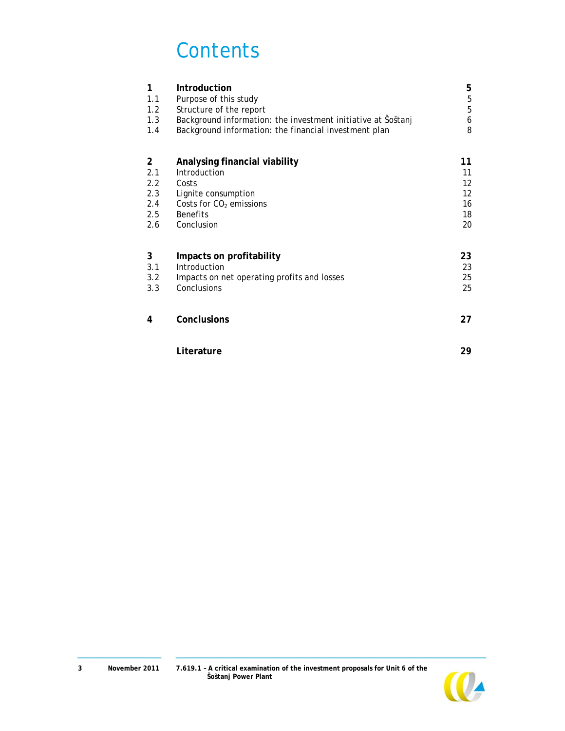## **Contents**

| 1<br>1.1       | Introduction<br>Purpose of this study                        | 5<br>5            |
|----------------|--------------------------------------------------------------|-------------------|
| 1.2            | Structure of the report                                      | 5                 |
| 1.3            | Background information: the investment initiative at Šoštanj | 6                 |
| 1.4            | Background information: the financial investment plan        | 8                 |
| $\overline{2}$ | Analysing financial viability                                | 11                |
| 2.1            | Introduction                                                 | 11                |
| 2.2            | Costs                                                        | $12 \overline{ }$ |
| 2.3            | Lignite consumption                                          | 12                |
| 2.4            | Costs for $CO2$ emissions                                    | 16                |
| 2.5            | <b>Benefits</b>                                              | 18                |
| 2.6            | Conclusion                                                   | 20                |
| 3              | Impacts on profitability                                     | 23                |
| 3.1            | Introduction                                                 | 23                |
| 3.2            | Impacts on net operating profits and losses                  | 25                |
| 3.3            | Conclusions                                                  | 25                |
| 4              | Conclusions                                                  | 27                |
|                | Literature                                                   | 29                |

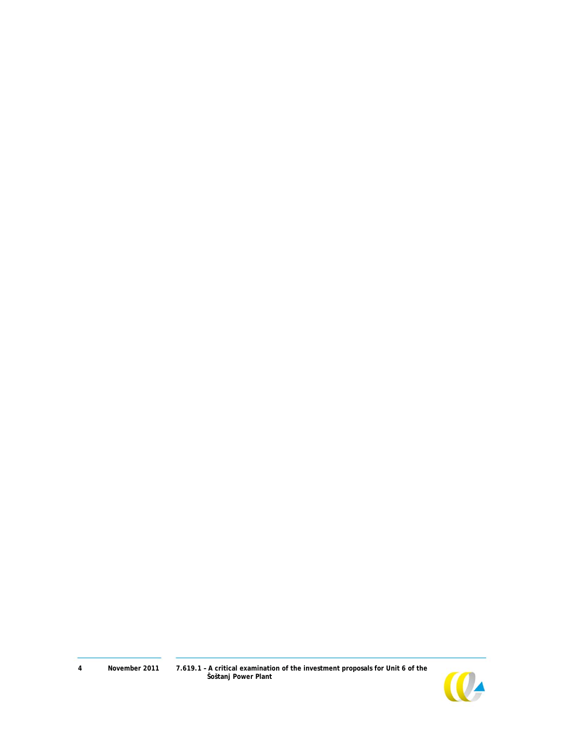**4 November 2011 7.619.1 – A critical examination of the investment proposals for Unit 6 of the Šoštanj Power Plant** 

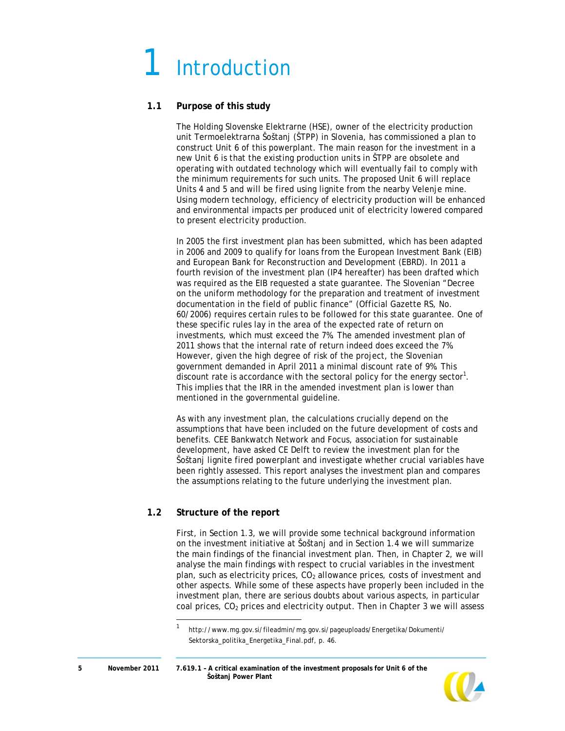## **Introduction**

### **1.1 Purpose of this study**

The Holding Slovenske Elektrarne (HSE), owner of the electricity production unit Termoelektrarna Šoštanj (ŠTPP) in Slovenia, has commissioned a plan to construct Unit 6 of this powerplant. The main reason for the investment in a new Unit 6 is that the existing production units in ŠTPP are obsolete and operating with outdated technology which will eventually fail to comply with the minimum requirements for such units. The proposed Unit 6 will replace Units 4 and 5 and will be fired using lignite from the nearby Velenje mine. Using modern technology, efficiency of electricity production will be enhanced and environmental impacts per produced unit of electricity lowered compared to present electricity production.

In 2005 the first investment plan has been submitted, which has been adapted in 2006 and 2009 to qualify for loans from the European Investment Bank (EIB) and European Bank for Reconstruction and Development (EBRD). In 2011 a fourth revision of the investment plan (IP4 hereafter) has been drafted which was required as the EIB requested a state guarantee. The Slovenian "Decree on the uniform methodology for the preparation and treatment of investment documentation in the field of public finance" (Official Gazette RS, No. 60/2006) requires certain rules to be followed for this state guarantee. One of these specific rules lay in the area of the expected rate of return on investments, which must exceed the 7%. The amended investment plan of 2011 shows that the internal rate of return indeed does exceed the 7%. However, given the high degree of risk of the project, the Slovenian government demanded in April 2011 a minimal discount rate of 9%. This discount rate is accordance with the sectoral policy for the energy sector<sup>1</sup>. This implies that the IRR in the amended investment plan is lower than mentioned in the governmental guideline.

As with any investment plan, the calculations crucially depend on the assumptions that have been included on the future development of costs and benefits. CEE Bankwatch Network and Focus, association for sustainable development, have asked CE Delft to review the investment plan for the Šoštanj lignite fired powerplant and investigate whether crucial variables have been rightly assessed. This report analyses the investment plan and compares the assumptions relating to the future underlying the investment plan.

#### **1.2 Structure of the report**

 $\overline{a}$ 

First, in Section 1.3, we will provide some technical background information on the investment initiative at Šoštanj and in Section 1.4 we will summarize the main findings of the financial investment plan. Then, in Chapter 2, we will analyse the main findings with respect to crucial variables in the investment plan, such as electricity prices,  $CO<sub>2</sub>$  allowance prices, costs of investment and other aspects. While some of these aspects have properly been included in the investment plan, there are serious doubts about various aspects, in particular coal prices,  $CO<sub>2</sub>$  prices and electricity output. Then in Chapter 3 we will assess

**5 November 2011 7.619.1 – A critical examination of the investment proposals for Unit 6 of the Šoštanj Power Plant** 



<sup>1</sup> http://www.mg.gov.si/fileadmin/mg.gov.si/pageuploads/Energetika/Dokumenti/ Sektorska\_politika\_Energetika\_Final.pdf, p. 46.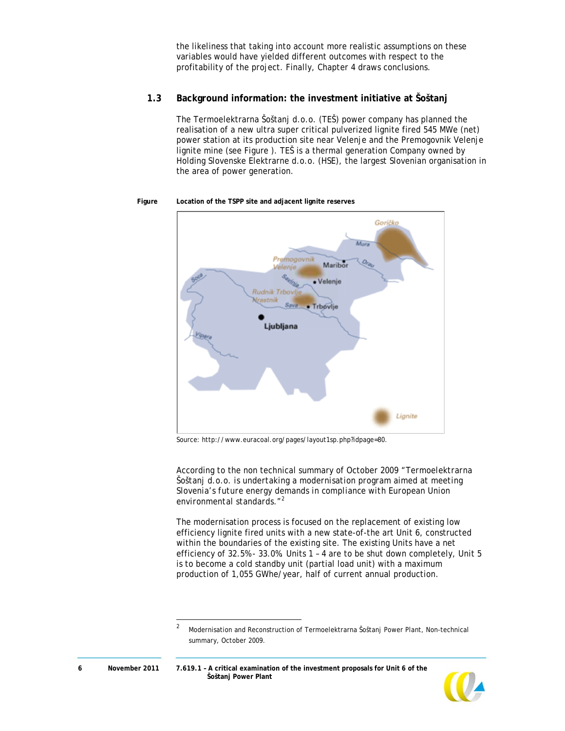the likeliness that taking into account more realistic assumptions on these variables would have yielded different outcomes with respect to the profitability of the project. Finally, Chapter 4 draws conclusions.

#### **1.3 Background information: the investment initiative at Šoštanj**

The Termoelektrarna Šoštanj d.o.o. (TEŠ) power company has planned the realisation of a new ultra super critical pulverized lignite fired 545 MWe (net) power station at its production site near Velenje and the Premogovnik Velenje lignite mine (see Figure ). TEŠ is a thermal generation Company owned by Holding Slovenske Elektrarne d.o.o. (HSE), the largest Slovenian organisation in the area of power generation.



**Figure Location of the TSPP site and adjacent lignite reserves** 

Source: http://www.euracoal.org/pages/layout1sp.php?idpage=80.

According to the non technical summary of October 2009 *"Termoelektrarna Šoštanj d.o.o. is undertaking a modernisation program aimed at meeting Slovenia's future energy demands in compliance with European Union environmental standards."*<sup>2</sup>

The modernisation process is focused on the replacement of existing low efficiency lignite fired units with a new state-of-the art Unit 6, constructed within the boundaries of the existing site. The existing Units have a net efficiency of 32.5% - 33.0%. Units 1 – 4 are to be shut down completely, Unit 5 is to become a cold standby unit (partial load unit) with a maximum production of 1,055 GWhe/year, half of current annual production.

**6 November 2011 7.619.1 – A critical examination of the investment proposals for Unit 6 of the Šoštanj Power Plant** 



<sup>&</sup>lt;sup>2</sup> Modernisation and Reconstruction of Termoelektrarna Šoštanj Power Plant, Non-technical summary, October 2009.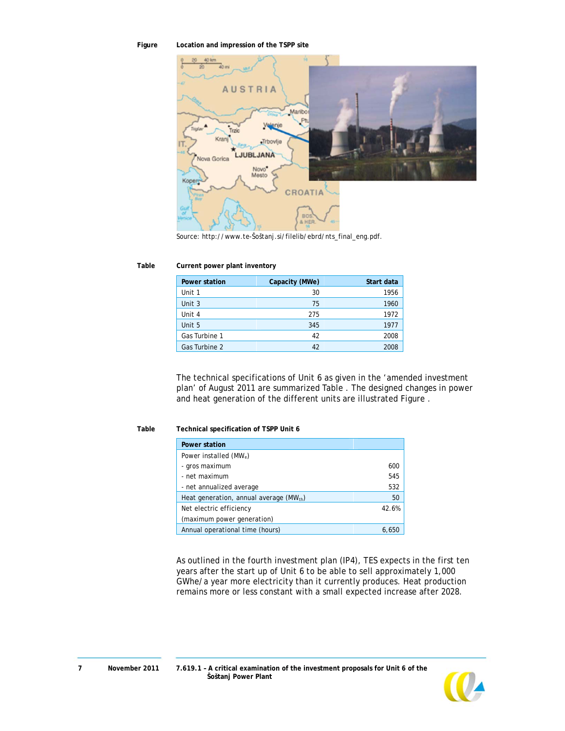**Figure Location and impression of the TSPP site** 



Source: http://www.te-Šoštanj.si/filelib/ebrd/nts\_final\_eng.pdf.

**Table Current power plant inventory** 

| Power station | Capacity (MWe) | Start data |
|---------------|----------------|------------|
| Unit 1        | 30             | 1956       |
| Unit 3        | 75             | 1960       |
| Unit 4        | 275            | 1972       |
| Unit 5        | 345            | 1977       |
| Gas Turbine 1 | 42             | 2008       |
| Gas Turbine 2 | 42             | 2008       |

The technical specifications of Unit 6 as given in the 'amended investment plan' of August 2011 are summarized Table . The designed changes in power and heat generation of the different units are illustrated Figure .

**Table Technical specification of TSPP Unit 6** 

| Power station                                       |       |
|-----------------------------------------------------|-------|
| Power installed (MWe)                               |       |
| - gros maximum                                      | 600   |
| - net maximum                                       | 545   |
| - net annualized average                            | 532   |
| Heat generation, annual average (MW <sub>th</sub> ) | 50    |
| Net electric efficiency                             | 42.6% |
| (maximum power generation)                          |       |
| Annual operational time (hours)                     | 6.65  |

As outlined in the fourth investment plan (IP4), TES expects in the first ten years after the start up of Unit 6 to be able to sell approximately 1,000 GWhe/a year more electricity than it currently produces. Heat production remains more or less constant with a small expected increase after 2028.

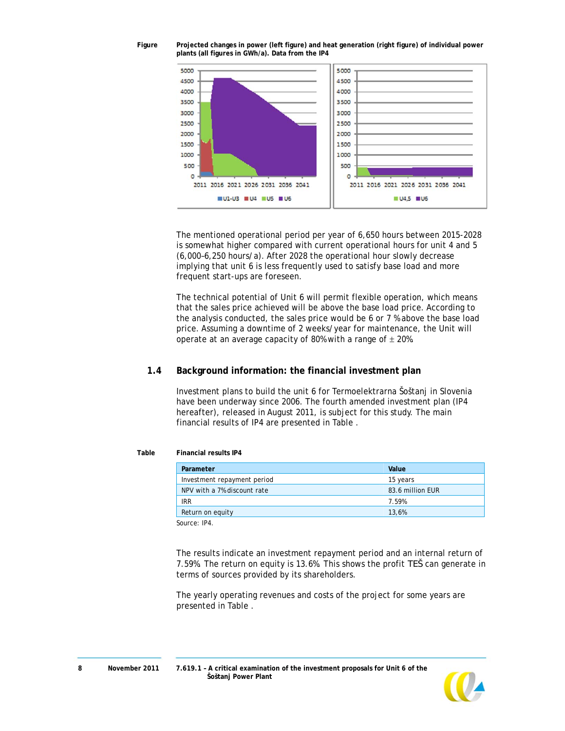**Figure Projected changes in power (left figure) and heat generation (right figure) of individual power plants (all figures in GWh/a). Data from the IP4** 



The mentioned operational period per year of 6,650 hours between 2015-2028 is somewhat higher compared with current operational hours for unit 4 and 5 (6,000–6,250 hours/a). After 2028 the operational hour slowly decrease implying that unit 6 is less frequently used to satisfy base load and more frequent start-ups are foreseen.

The technical potential of Unit 6 will permit flexible operation, which means that the sales price achieved will be above the base load price. According to the analysis conducted, the sales price would be 6 or 7 % above the base load price. Assuming a downtime of 2 weeks/year for maintenance, the Unit will operate at an average capacity of 80% with a range of  $\pm$  20%.

### **1.4 Background information: the financial investment plan**

Investment plans to build the unit 6 for Termoelektrarna Šoštanj in Slovenia have been underway since 2006. The fourth amended investment plan (IP4 hereafter), released in August 2011, is subject for this study. The main financial results of IP4 are presented in Table .

#### **Table Financial results IP4**

| Parameter                   | Value            |
|-----------------------------|------------------|
| Investment repayment period | 15 years         |
| NPV with a 7% discount rate | 83.6 million EUR |
| <b>IRR</b>                  | 7.59%            |
| Return on equity            | 13.6%            |
| $\sim$                      |                  |

Source: IP4.

The results indicate an investment repayment period and an internal return of 7.59%. The return on equity is 13.6%. This shows the profit TEŠ can generate in terms of sources provided by its shareholders.

The yearly operating revenues and costs of the project for some years are presented in Table .

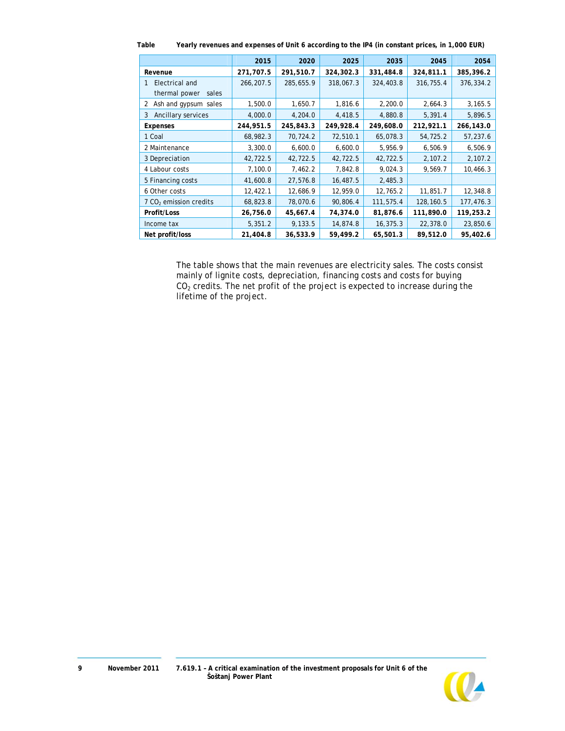|                                          | 2015      | 2020      | 2025      | 2035      | 2045      | 2054      |
|------------------------------------------|-----------|-----------|-----------|-----------|-----------|-----------|
| Revenue                                  | 271,707.5 | 291,510.7 | 324,302.3 | 331,484.8 | 324,811.1 | 385,396.2 |
| Electrical and<br>thermal power<br>sales | 266,207.5 | 285,655.9 | 318,067.3 | 324,403.8 | 316,755.4 | 376,334.2 |
| Ash and gypsum sales<br>2                | 1,500.0   | 1,650.7   | 1,816.6   | 2,200.0   | 2,664.3   | 3,165.5   |
| Ancillary services<br>3                  | 4,000.0   | 4,204.0   | 4,418.5   | 4,880.8   | 5,391.4   | 5,896.5   |
| Expenses                                 | 244,951.5 | 245,843.3 | 249,928.4 | 249,608.0 | 212,921.1 | 266,143.0 |
| 1 Coal                                   | 68,982.3  | 70,724.2  | 72,510.1  | 65,078.3  | 54,725.2  | 57,237.6  |
| 2 Maintenance                            | 3,300.0   | 6,600.0   | 6,600.0   | 5,956.9   | 6,506.9   | 6,506.9   |
| 3 Depreciation                           | 42,722.5  | 42,722.5  | 42,722.5  | 42,722.5  | 2,107.2   | 2,107.2   |
| 4 Labour costs                           | 7,100.0   | 7,462.2   | 7,842.8   | 9,024.3   | 9,569.7   | 10,466.3  |
| 5 Financing costs                        | 41,600.8  | 27,576.8  | 16,487.5  | 2,485.3   |           |           |
| 6 Other costs                            | 12,422.1  | 12,686.9  | 12,959.0  | 12,765.2  | 11,851.7  | 12,348.8  |
| 7 CO <sub>2</sub> emission credits       | 68,823.8  | 78,070.6  | 90,806.4  | 111,575.4 | 128,160.5 | 177,476.3 |
| Profit/Loss                              | 26,756.0  | 45,667.4  | 74,374.0  | 81,876.6  | 111,890.0 | 119,253.2 |
| Income tax                               | 5,351.2   | 9,133.5   | 14,874.8  | 16,375.3  | 22,378.0  | 23,850.6  |
| Net profit/loss                          | 21,404.8  | 36,533.9  | 59,499.2  | 65,501.3  | 89,512.0  | 95,402.6  |

**Table Yearly revenues and expenses of Unit 6 according to the IP4 (in constant prices, in 1,000 EUR)** 

The table shows that the main revenues are electricity sales. The costs consist mainly of lignite costs, depreciation, financing costs and costs for buying CO<sub>2</sub> credits. The net profit of the project is expected to increase during the lifetime of the project.

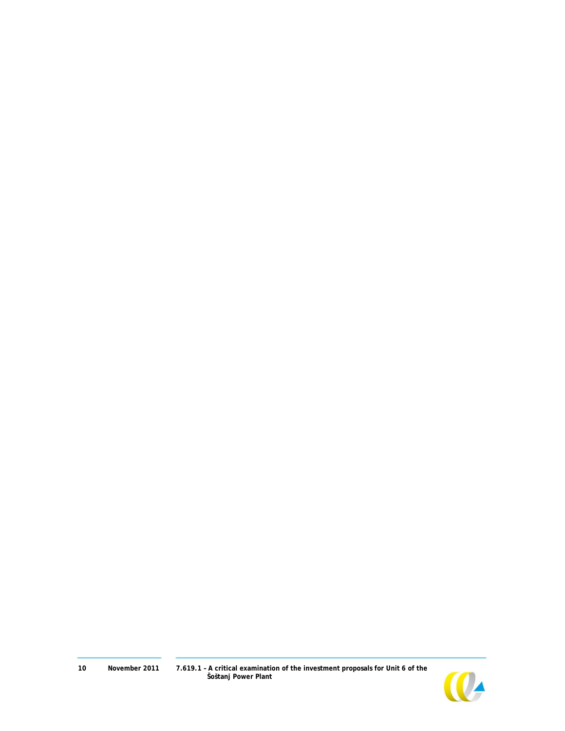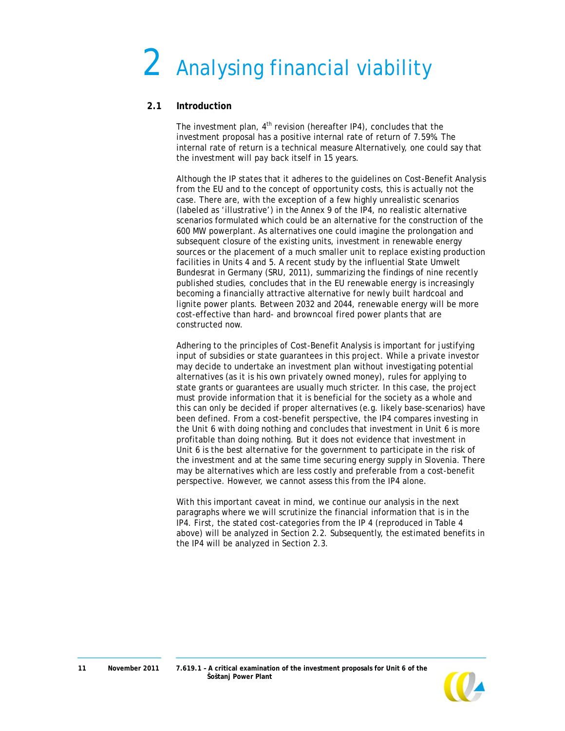# 2 Analysing financial viability

### **2.1 Introduction**

The investment plan,  $4<sup>th</sup>$  revision (hereafter IP4), concludes that the investment proposal has a positive internal rate of return of 7.59%. The internal rate of return is a technical measure Alternatively, one could say that the investment will pay back itself in 15 years.

Although the IP states that it adheres to the guidelines on Cost-Benefit Analysis from the EU and to the concept of opportunity costs, this is actually not the case. There are, with the exception of a few highly unrealistic scenarios (labeled as 'illustrative') in the Annex 9 of the IP4, no realistic alternative scenarios formulated which could be an alternative for the construction of the 600 MW powerplant. As alternatives one could imagine the prolongation and subsequent closure of the existing units, investment in renewable energy sources or the placement of a much smaller unit to replace existing production facilities in Units 4 and 5. A recent study by the influential State Umwelt Bundesrat in Germany (SRU, 2011), summarizing the findings of nine recently published studies, concludes that in the EU renewable energy is increasingly becoming a financially attractive alternative for newly built hardcoal and lignite power plants. Between 2032 and 2044, renewable energy will be more cost-effective than hard- and browncoal fired power plants that are constructed now.

Adhering to the principles of Cost-Benefit Analysis is important for justifying input of subsidies or state guarantees in this project. While a private investor may decide to undertake an investment plan without investigating potential alternatives (as it is his own privately owned money), rules for applying to state grants or guarantees are usually much stricter. In this case, the project must provide information that it is beneficial for the society as a whole and this can only be decided if proper alternatives (e.g. likely base-scenarios) have been defined. From a cost-benefit perspective, the IP4 compares investing in the Unit 6 with doing nothing and concludes that investment in Unit 6 is more profitable than doing nothing. But it does not evidence that investment in Unit 6 is the best alternative for the government to participate in the risk of the investment and at the same time securing energy supply in Slovenia. There may be alternatives which are less costly and preferable from a cost-benefit perspective. However, we cannot assess this from the IP4 alone.

With this important caveat in mind, we continue our analysis in the next paragraphs where we will scrutinize the financial information that is in the IP4. First, the stated cost-categories from the IP 4 (reproduced in Table 4 above) will be analyzed in Section 2.2. Subsequently, the estimated benefits in the IP4 will be analyzed in Section 2.3.

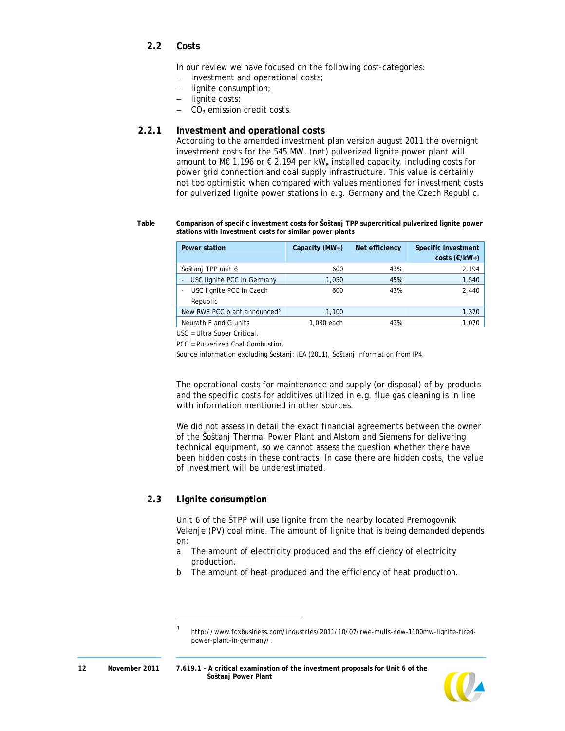#### **2.2 Costs**

In our review we have focused on the following cost-categories:

- investment and operational costs;
- lignite consumption;
- lignite costs;
- $-CO<sub>2</sub>$  emission credit costs.

#### **2.2.1 Investment and operational costs**

According to the amended investment plan version august 2011 the overnight investment costs for the 545 MW<sub>e</sub> (net) pulverized lignite power plant will amount to M€ 1,196 or  $∈$  2,194 per kW<sub>e</sub> installed capacity, including costs for power grid connection and coal supply infrastructure. This value is certainly not too optimistic when compared with values mentioned for investment costs for pulverized lignite power stations in e.g. Germany and the Czech Republic.

**Table Comparison of specific investment costs for Šoštanj TPP supercritical pulverized lignite power stations with investment costs for similar power plants** 

| Power station                            | Capacity (MW+) | Net efficiency | Specific investment    |
|------------------------------------------|----------------|----------------|------------------------|
|                                          |                |                | costs $(\epsilon/kW+)$ |
| Šoštanj TPP unit 6                       | 600            | 43%            | 2,194                  |
| USC lignite PCC in Germany               | 1,050          | 45%            | 1,540                  |
| USC lignite PCC in Czech                 | 600            | 43%            | 2,440                  |
| Republic                                 |                |                |                        |
| New RWE PCC plant announced <sup>3</sup> | 1,100          |                | 1,370                  |
| Neurath F and G units                    | 1.030 each     | 43%            | 1,070                  |

USC = Ultra Super Critical.

PCC = Pulverized Coal Combustion.

Source information excluding Šoštanj: IEA (2011), Šoštanj information from IP4.

The operational costs for maintenance and supply (or disposal) of by-products and the specific costs for additives utilized in e.g. flue gas cleaning is in line with information mentioned in other sources

We did not assess in detail the exact financial agreements between the owner of the Šoštanj Thermal Power Plant and Alstom and Siemens for delivering technical equipment, so we cannot assess the question whether there have been hidden costs in these contracts. In case there are hidden costs, the value of investment will be underestimated.

#### **2.3 Lignite consumption**

l

Unit 6 of the ŠTPP will use lignite from the nearby located Premogovnik Velenje (PV) coal mine. The amount of lignite that is being demanded depends on:

- a The amount of electricity produced and the efficiency of electricity production.
- b The amount of heat produced and the efficiency of heat production.



<sup>3</sup> http://www.foxbusiness.com/industries/2011/10/07/rwe-mulls-new-1100mw-lignite-firedpower-plant-in-germany/.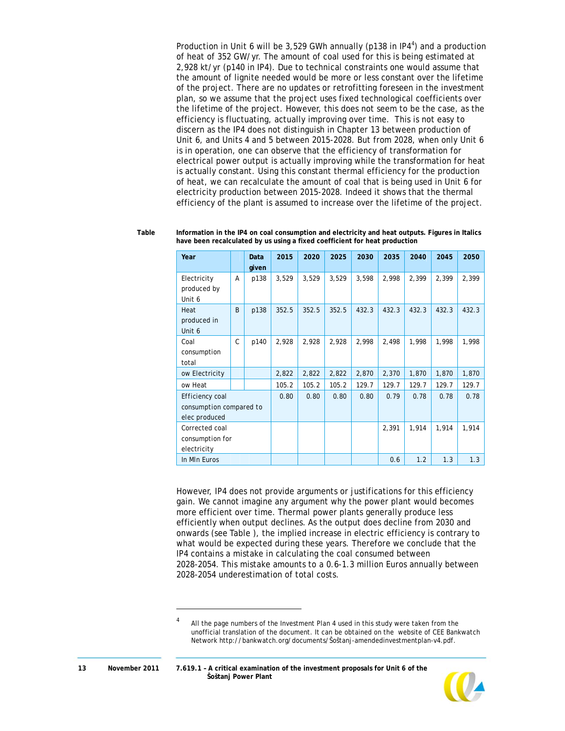Production in Unit 6 will be  $3,529$  GWh annually (p138 in IP4<sup>4</sup>) and a production of heat of 352 GW/yr. The amount of coal used for this is being estimated at 2,928 kt/yr (p140 in IP4). Due to technical constraints one would assume that the amount of lignite needed would be more or less constant over the lifetime of the project. There are no updates or retrofitting foreseen in the investment plan, so we assume that the project uses fixed technological coefficients over the lifetime of the project. However, this does not seem to be the case, as the efficiency is fluctuating, actually improving over time. This is not easy to discern as the IP4 does not distinguish in Chapter 13 between production of Unit 6, and Units 4 and 5 between 2015-2028. But from 2028, when only Unit 6 is in operation, one can observe that the efficiency of transformation for electrical power output is actually improving while the transformation for heat is actually constant. Using this constant thermal efficiency for the production of heat, we can recalculate the amount of coal that is being used in Unit 6 for electricity production between 2015-2028. Indeed it shows that the thermal efficiency of the plant is assumed to increase over the lifetime of the project.

**Table Information in the IP4 on coal consumption and electricity and heat outputs. Figures in Italics have been recalculated by us using a fixed coefficient for heat production** 

| Year                                                        |   | Data<br>given | 2015  | 2020  | 2025  | 2030  | 2035  | 2040  | 2045  | 2050  |
|-------------------------------------------------------------|---|---------------|-------|-------|-------|-------|-------|-------|-------|-------|
| p138<br>Electricity<br>Α<br>produced by<br>Unit 6           |   | 3,529         | 3,529 | 3,529 | 3,598 | 2,998 | 2,399 | 2,399 | 2,399 |       |
| Heat<br>produced in<br>Unit 6                               | B | p138          | 352.5 | 352.5 | 352.5 | 432.3 | 432.3 | 432.3 | 432.3 | 432.3 |
| C<br>Coal<br>consumption<br>total                           |   | p140          | 2,928 | 2,928 | 2,928 | 2,998 | 2,498 | 1,998 | 1,998 | 1,998 |
| ow Electricity                                              |   | 2,822         | 2,822 | 2,822 | 2,870 | 2,370 | 1,870 | 1,870 | 1,870 |       |
| ow Heat                                                     |   |               | 105.2 | 105.2 | 105.2 | 129.7 | 129.7 | 129.7 | 129.7 | 129.7 |
| Efficiency coal<br>consumption compared to<br>elec produced |   |               | 0.80  | 0.80  | 0.80  | 0.80  | 0.79  | 0.78  | 0.78  | 0.78  |
| Corrected coal<br>consumption for<br>electricity            |   |               |       |       |       |       | 2,391 | 1,914 | 1,914 | 1,914 |
| In MIn Euros                                                |   |               |       |       |       |       | 0.6   | 1.2   | 1.3   | 1.3   |

However, IP4 does not provide arguments or justifications for this efficiency gain. We cannot imagine any argument why the power plant would becomes more efficient over time. Thermal power plants generally produce less efficiently when output declines. As the output does decline from 2030 and onwards (see Table ), the implied increase in electric efficiency is contrary to what would be expected during these years. Therefore we conclude that the IP4 contains a mistake in calculating the coal consumed between 2028-2054. This mistake amounts to a 0.6-1.3 million Euros annually between 2028-2054 underestimation of total costs.

 $\overline{a}$ 



<sup>4</sup> All the page numbers of the Investment Plan 4 used in this study were taken from the unofficial translation of the document. It can be obtained on the website of CEE Bankwatch Network http://bankwatch.org/documents/Šoštanj-amendedinvestmentplan-v4.pdf.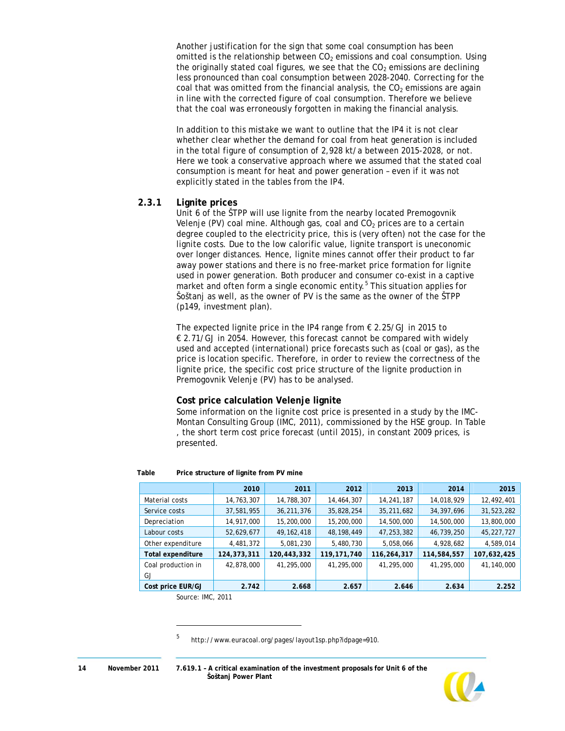Another justification for the sign that some coal consumption has been omitted is the relationship between  $CO<sub>2</sub>$  emissions and coal consumption. Using the originally stated coal figures, we see that the  $CO<sub>2</sub>$  emissions are declining less pronounced than coal consumption between 2028-2040. Correcting for the coal that was omitted from the financial analysis, the  $CO<sub>2</sub>$  emissions are again in line with the corrected figure of coal consumption. Therefore we believe that the coal was erroneously forgotten in making the financial analysis.

In addition to this mistake we want to outline that the IP4 it is not clear whether clear whether the demand for coal from heat generation is included in the total figure of consumption of 2,928 kt/a between 2015-2028, or not. Here we took a conservative approach where we assumed that the stated coal consumption is meant for heat *and* power generation – even if it was not explicitly stated in the tables from the IP4.

#### **2.3.1 Lignite prices**

Unit 6 of the ŠTPP will use lignite from the nearby located Premogovnik Velenje (PV) coal mine. Although gas, coal and  $CO<sub>2</sub>$  prices are to a certain degree coupled to the electricity price, this is (very often) not the case for the lignite costs. Due to the low calorific value, lignite transport is uneconomic over longer distances. Hence, lignite mines cannot offer their product to far away power stations and there is no free-market price formation for lignite used in power generation. Both producer and consumer co-exist in a captive market and often form a single economic entity.<sup>5</sup> This situation applies for Šoštanj as well, as the owner of PV is the same as the owner of the ŠTPP (p149, investment plan).

The expected lignite price in the IP4 range from  $\epsilon$  2.25/GJ in 2015 to € 2.71/GJ in 2054. However, this forecast cannot be compared with widely used and accepted (international) price forecasts such as (coal or gas), as the price is location specific. Therefore, in order to review the correctness of the lignite price, the specific cost price structure of the lignite production in Premogovnik Velenje (PV) has to be analysed.

#### **Cost price calculation Velenje lignite**

Some information on the lignite cost price is presented in a study by the IMC-Montan Consulting Group (IMC, 2011), commissioned by the HSE group. In Table , the short term cost price forecast (until 2015), in constant 2009 prices, is presented.

|                    | 2010        | 2011         | 2012         | 2013         | 2014         | 2015         |
|--------------------|-------------|--------------|--------------|--------------|--------------|--------------|
| Material costs     | 14,763,307  | 14,788,307   | 14,464,307   | 14,241,187   | 14,018,929   | 12,492,401   |
| Service costs      | 37,581,955  | 36,211,376   | 35,828,254   | 35,211,682   | 34, 397, 696 | 31,523,282   |
| Depreciation       | 14,917,000  | 15,200,000   | 15,200,000   | 14,500,000   | 14,500,000   | 13,800,000   |
| Labour costs       | 52,629,677  | 49, 162, 418 | 48, 198, 449 | 47, 253, 382 | 46,739,250   | 45, 227, 727 |
| Other expenditure  | 4,481,372   | 5,081,230    | 5,480,730    | 5,058,066    | 4,928,682    | 4,589,014    |
| Total expenditure  | 124,373,311 | 120,443,332  | 119,171,740  | 116,264,317  | 114,584,557  | 107,632,425  |
| Coal production in | 42,878,000  | 41,295,000   | 41,295,000   | 41,295,000   | 41,295,000   | 41,140,000   |
| GJ                 |             |              |              |              |              |              |
| Cost price EUR/GJ  | 2.742       | 2.668        | 2.657        | 2.646        | 2.634        | 2.252        |

**Table Price structure of lignite from PV mine** 

Source: IMC, 2011

l 5

http://www.euracoal.org/pages/layout1sp.php?idpage=910.

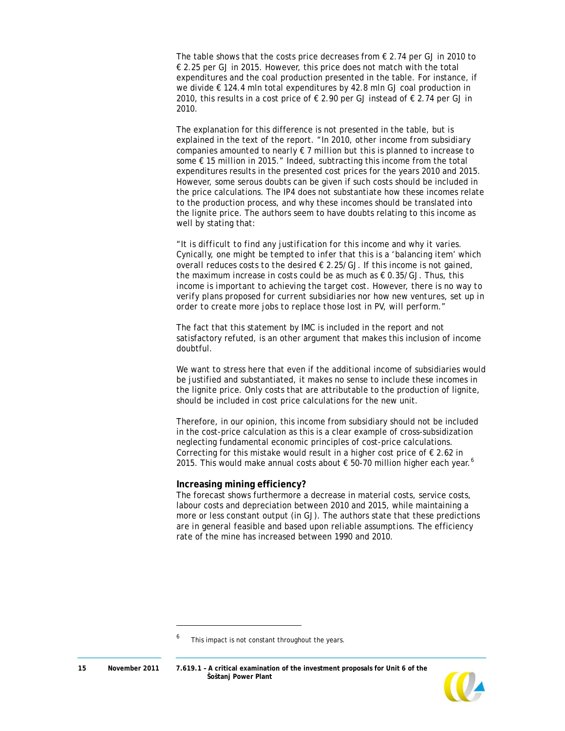The table shows that the costs price decreases from  $\epsilon$  2.74 per GJ in 2010 to € 2.25 per GJ in 2015. However, this price does not match with the total expenditures and the coal production presented in the table. For instance, if we divide € 124.4 mln total expenditures by 42.8 mln GJ coal production in 2010, this results in a cost price of € 2.90 per GJ instead of € 2.74 per GJ in 2010.

The explanation for this difference is not presented in the table, but is explained in the text of the report. *"In 2010, other income from subsidiary companies amounted to nearly € 7 million but this is planned to increase to some € 15 million in 2015."* Indeed, subtracting this income from the total expenditures results in the presented cost prices for the years 2010 and 2015. However, some serous doubts can be given if such costs should be included in the price calculations. The IP4 does not substantiate how these incomes relate to the production process, and why these incomes should be translated into the lignite price. The authors seem to have doubts relating to this income as well by stating that:

*"It is difficult to find any justification for this income and why it varies. Cynically, one might be tempted to infer that this is a 'balancing item' which overall reduces costs to the desired € 2.25/GJ. If this income is not gained, the maximum increase in costs could be as much as € 0.35/GJ. Thus, this income is important to achieving the target cost. However, there is no way to verify plans proposed for current subsidiaries nor how new ventures, set up in order to create more jobs to replace those lost in PV, will perform."*

The fact that this statement by IMC is included in the report and not satisfactory refuted, is an other argument that makes this inclusion of income doubtful.

We want to stress here that even if the additional income of subsidiaries would be justified and substantiated, it makes no sense to include these incomes in the lignite price. Only costs that are attributable to the production of lignite, should be included in cost price calculations for the new unit.

Therefore, in our opinion, this income from subsidiary should not be included in the cost-price calculation as this is a clear example of cross-subsidization neglecting fundamental economic principles of cost-price calculations. Correcting for this mistake would result in a higher cost price of  $\epsilon$  2.62 in 2015. This would make annual costs about  $\epsilon$  50-70 million higher each year.<sup>6</sup>

#### **Increasing mining efficiency?**

The forecast shows furthermore a decrease in material costs, service costs, labour costs and depreciation between 2010 and 2015, while maintaining a more or less constant output (in GJ). The authors state that these predictions *are in general feasible and based upon reliable assumptions.* The efficiency rate of the mine has increased between 1990 and 2010.

l 6



This impact is not constant throughout the years.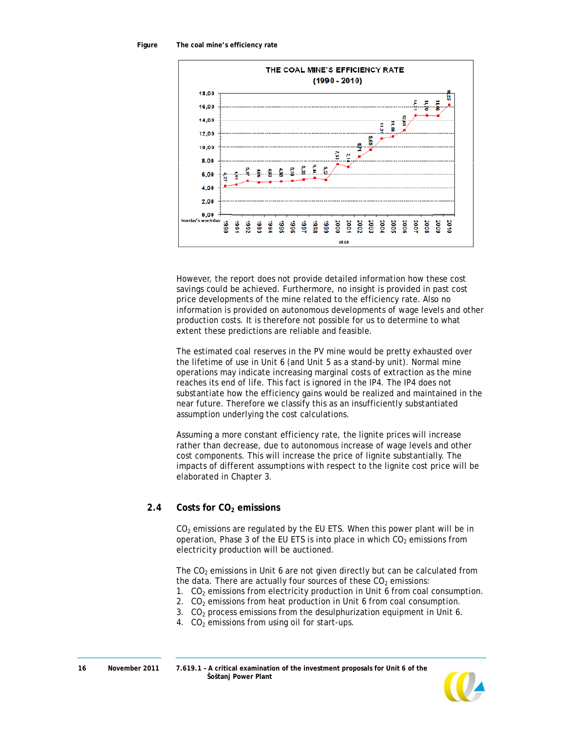

However, the report does not provide detailed information how these cost savings could be achieved. Furthermore, no insight is provided in past cost price developments of the mine related to the efficiency rate. Also no information is provided on autonomous developments of wage levels and other production costs. It is therefore not possible for us to determine to what extent these predictions are reliable and feasible.

The estimated coal reserves in the PV mine would be pretty exhausted over the lifetime of use in Unit 6 (and Unit 5 as a stand-by unit). Normal mine operations may indicate increasing marginal costs of extraction as the mine reaches its end of life. This fact is ignored in the IP4. The IP4 does not substantiate how the efficiency gains would be realized and maintained in the near future. Therefore we classify this as an insufficiently substantiated assumption underlying the cost calculations.

Assuming a more constant efficiency rate, the lignite prices will increase rather than decrease, due to autonomous increase of wage levels and other cost components. This will increase the price of lignite substantially. The impacts of different assumptions with respect to the lignite cost price will be elaborated in Chapter 3.

### **2.4 Costs for CO<sub>2</sub> emissions**

 $CO<sub>2</sub>$  emissions are regulated by the EU ETS. When this power plant will be in operation, Phase 3 of the EU ETS is into place in which  $CO<sub>2</sub>$  emissions from electricity production will be auctioned.

The  $CO<sub>2</sub>$  emissions in Unit 6 are not given directly but can be calculated from the data. There are actually four sources of these  $CO<sub>2</sub>$  emissions:

- 1.  $CO<sub>2</sub>$  emissions from electricity production in Unit 6 from coal consumption.
- 2.  $CO<sub>2</sub>$  emissions from heat production in Unit 6 from coal consumption.
- 3.  $CO<sub>2</sub>$  process emissions from the desulphurization equipment in Unit 6.
- 4.  $CO<sub>2</sub>$  emissions from using oil for start-ups.

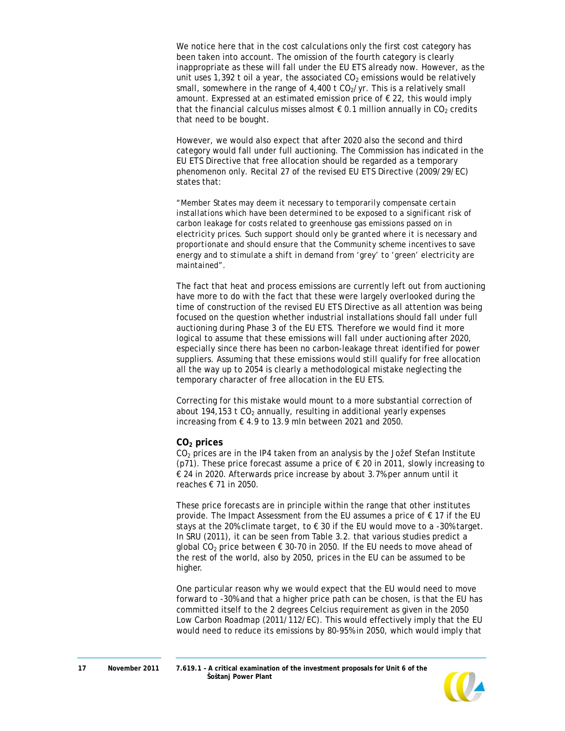We notice here that in the cost calculations only the first cost category has been taken into account. The omission of the fourth category is clearly inappropriate as these will fall under the EU ETS already now. However, as the unit uses 1,392 t oil a year, the associated  $CO<sub>2</sub>$  emissions would be relatively small, somewhere in the range of  $4,400$  t  $CO<sub>2</sub>/yr$ . This is a relatively small amount. Expressed at an estimated emission price of  $\epsilon$  22, this would imply that the financial calculus misses almost  $\epsilon$  0.1 million annually in CO<sub>2</sub> credits that need to be bought.

However, we would also expect that after 2020 also the second and third category would fall under full auctioning. The Commission has indicated in the EU ETS Directive that free allocation should be regarded as a temporary phenomenon only. Recital 27 of the revised EU ETS Directive (2009/29/EC) states that:

*"Member States may deem it necessary to temporarily compensate certain installations which have been determined to be exposed to a significant risk of carbon leakage for costs related to greenhouse gas emissions passed on in electricity prices. Such support should only be granted where it is necessary and proportionate and should ensure that the Community scheme incentives to save energy and to stimulate a shift in demand from 'grey' to 'green' electricity are maintained".*

The fact that heat and process emissions are currently left out from auctioning have more to do with the fact that these were largely overlooked during the time of construction of the revised EU ETS Directive as all attention was being focused on the question whether industrial installations should fall under full auctioning during Phase 3 of the EU ETS. Therefore we would find it more logical to assume that these emissions will fall under auctioning after 2020, especially since there has been no carbon-leakage threat identified for power suppliers. Assuming that these emissions would still qualify for free allocation all the way up to 2054 is clearly a methodological mistake neglecting the temporary character of free allocation in the EU ETS.

Correcting for this mistake would mount to a more substantial correction of about 194,153  $t$  CO<sub>2</sub> annually, resulting in additional yearly expenses increasing from € 4.9 to 13.9 mln between 2021 and 2050.

#### CO<sub>2</sub> prices

 $CO<sub>2</sub>$  prices are in the IP4 taken from an analysis by the Jožef Stefan Institute (p71). These price forecast assume a price of  $\epsilon$  20 in 2011, slowly increasing to € 24 in 2020. Afterwards price increase by about 3.7% per annum until it reaches € 71 in 2050.

These price forecasts are in principle within the range that other institutes provide. The Impact Assessment from the EU assumes a price of  $\epsilon$  17 if the EU stays at the 20% climate target, to  $\epsilon$  30 if the EU would move to a -30% target. In SRU (2011), it can be seen from Table 3.2. that various studies predict a global CO<sub>2</sub> price between  $\epsilon$  30-70 in 2050. If the EU needs to move ahead of the rest of the world, also by 2050, prices in the EU can be assumed to be higher.

One particular reason why we would expect that the EU would need to move forward to -30% and that a higher price path can be chosen, is that the EU has committed itself to the 2 degrees Celcius requirement as given in the 2050 Low Carbon Roadmap (2011/112/EC). This would effectively imply that the EU would need to reduce its emissions by 80-95% in 2050, which would imply that

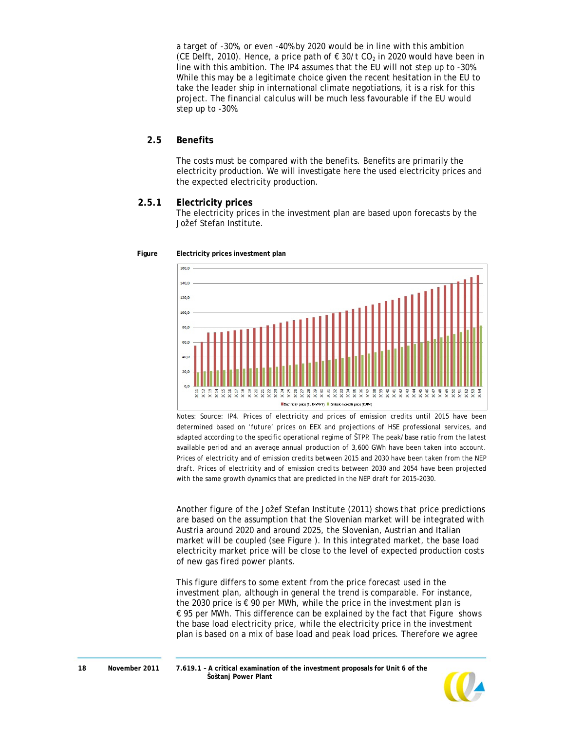a target of -30%, or even -40% by 2020 would be in line with this ambition (CE Delft, 2010). Hence, a price path of € 30/t CO<sub>2</sub> in 2020 would have been in line with this ambition. The IP4 assumes that the EU will not step up to -30%. While this may be a legitimate choice given the recent hesitation in the EU to take the leader ship in international climate negotiations, it is a risk for this project. The financial calculus will be much less favourable if the EU would step up to -30%.

#### **2.5 Benefits**

The costs must be compared with the benefits. Benefits are primarily the electricity production. We will investigate here the used electricity prices and the expected electricity production.

#### **2.5.1 Electricity prices**

The electricity prices in the investment plan are based upon forecasts by the Jožef Stefan Institute.



#### **Figure Electricity prices investment plan**

Notes: Source: IP4. *Prices of electricity and prices of emission credits until 2015 have been determined based on 'future' prices on EEX and projections of HSE professional services, and adapted according to the specific operational regime of ŠTPP. The peak/base ratio from the latest available period and an average annual production of 3,600 GWh have been taken into account. Prices of electricity and of emission credits between 2015 and 2030 have been taken from the NEP draft. Prices of electricity and of emission credits between 2030 and 2054 have been projected with the same growth dynamics that are predicted in the NEP draft for 2015–2030*.

Another figure of the Jožef Stefan Institute (2011) shows that price predictions are based on the assumption that the Slovenian market will be integrated with Austria around 2020 and around 2025, the Slovenian, Austrian and Italian market will be coupled (see Figure ). In this integrated market, the base load electricity market price will be close to the level of expected production costs of new gas fired power plants.

This figure differs to some extent from the price forecast used in the investment plan, although in general the trend is comparable. For instance, the 2030 price is  $€$  90 per MWh, while the price in the investment plan is € 95 per MWh. This difference can be explained by the fact that Figure shows the base load electricity price, while the electricity price in the investment plan is based on a mix of base load and peak load prices. Therefore we agree

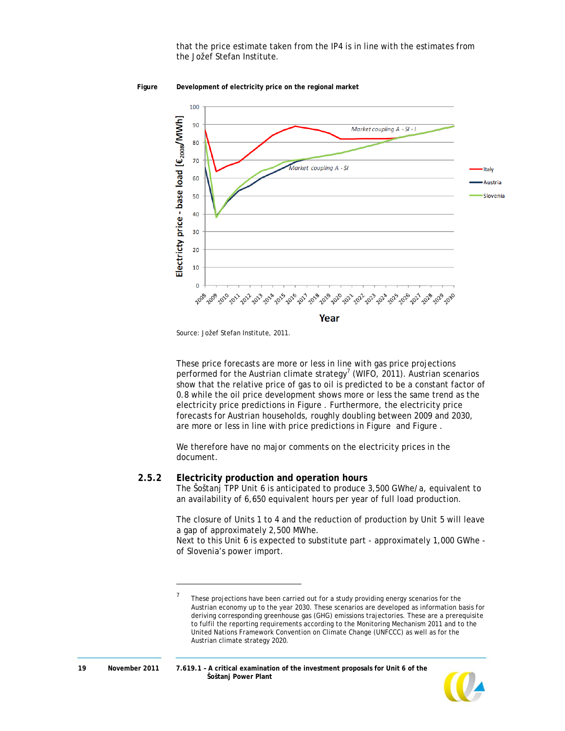that the price estimate taken from the IP4 is in line with the estimates from the Jožef Stefan Institute.

**Figure Development of electricity price on the regional market** 



Source: Jožef Stefan Institute, 2011.

These price forecasts are more or less in line with gas price projections performed for the Austrian climate strategy<sup>7</sup> (WIFO, 2011). Austrian scenarios show that the relative price of gas to oil is predicted to be a constant factor of 0.8 while the oil price development shows more or less the same trend as the electricity price predictions in Figure . Furthermore, the electricity price forecasts for Austrian households, roughly doubling between 2009 and 2030, are more or less in line with price predictions in Figure and Figure .

We therefore have no major comments on the electricity prices in the document.

#### **2.5.2 Electricity production and operation hours**

The Šoštanj TPP Unit 6 is anticipated to produce 3,500 GWhe/a, equivalent to an availability of 6,650 equivalent hours per year of full load production.

The closure of Units 1 to 4 and the reduction of production by Unit 5 will leave a gap of approximately 2,500 MWhe.

Next to this Unit 6 is expected to substitute part - approximately 1,000 GWhe of Slovenia's power import.

 $\overline{a}$ 7



These projections have been carried out for a study providing energy scenarios for the Austrian economy up to the year 2030. These scenarios are developed as information basis for deriving corresponding greenhouse gas (GHG) emissions trajectories. These are a prerequisite to fulfil the reporting requirements according to the Monitoring Mechanism 2011 and to the United Nations Framework Convention on Climate Change (UNFCCC) as well as for the Austrian climate strategy 2020.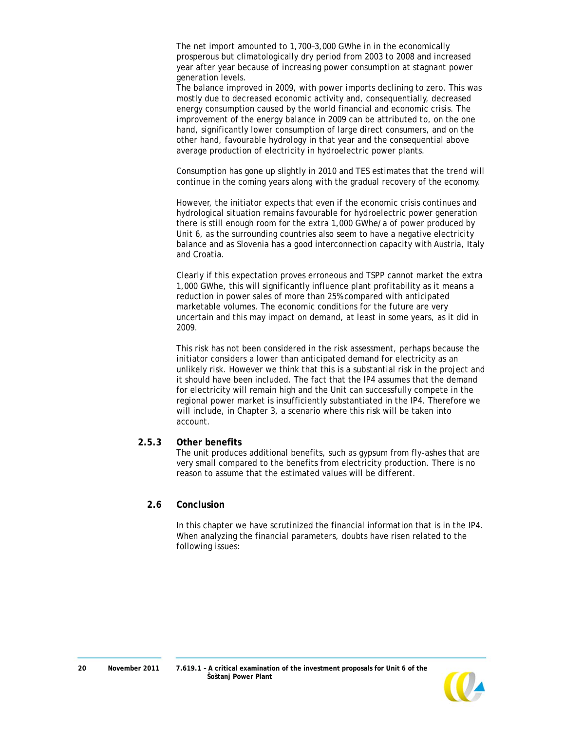The net import amounted to 1,700–3,000 GWhe in in the economically prosperous but climatologically dry period from 2003 to 2008 and increased year after year because of increasing power consumption at stagnant power generation levels.

The balance improved in 2009, with power imports declining to zero. This was mostly due to decreased economic activity and, consequentially, decreased energy consumption caused by the world financial and economic crisis. The improvement of the energy balance in 2009 can be attributed to, on the one hand, significantly lower consumption of large direct consumers, and on the other hand, favourable hydrology in that year and the consequential above average production of electricity in hydroelectric power plants.

Consumption has gone up slightly in 2010 and TES estimates that the trend will continue in the coming years along with the gradual recovery of the economy.

However, the initiator expects that even if the economic crisis continues and hydrological situation remains favourable for hydroelectric power generation there is still enough room for the extra 1,000 GWhe/a of power produced by Unit 6, as the surrounding countries also seem to have a negative electricity balance and as Slovenia has a good interconnection capacity with Austria, Italy and Croatia.

Clearly if this expectation proves erroneous and TSPP cannot market the extra 1,000 GWhe, this will significantly influence plant profitability as it means a reduction in power sales of more than 25% compared with anticipated marketable volumes. The economic conditions for the future are very uncertain and this may impact on demand, at least in some years, as it did in 2009.

This risk has not been considered in the risk assessment, perhaps because the initiator considers a lower than anticipated demand for electricity as an unlikely risk. However we think that this is a substantial risk in the project and it should have been included. The fact that the IP4 assumes that the demand for electricity will remain high and the Unit can successfully compete in the regional power market is insufficiently substantiated in the IP4. Therefore we will include, in Chapter 3, a scenario where this risk will be taken into account.

#### **2.5.3 Other benefits**

The unit produces additional benefits, such as gypsum from fly-ashes that are very small compared to the benefits from electricity production. There is no reason to assume that the estimated values will be different.

#### **2.6 Conclusion**

In this chapter we have scrutinized the financial information that is in the IP4. When analyzing the financial parameters, doubts have risen related to the following issues:

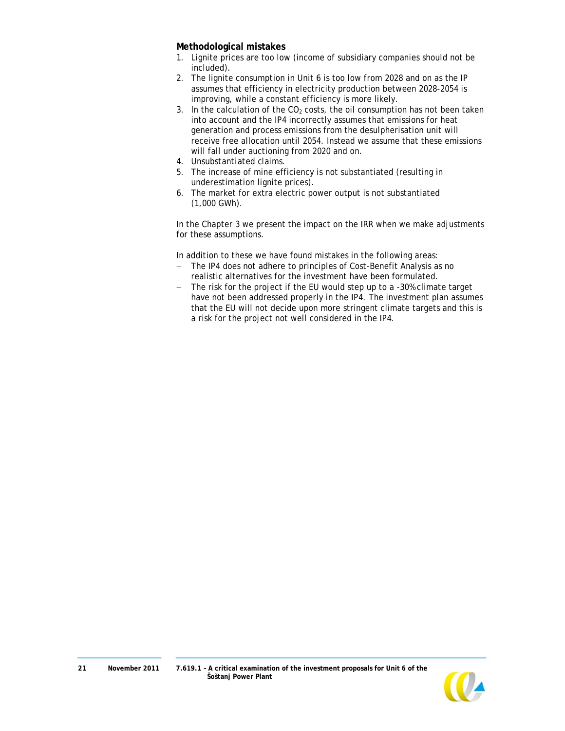#### **Methodological mistakes**

- 1. Lignite prices are too low (income of subsidiary companies should not be included).
- 2. The lignite consumption in Unit 6 is too low from 2028 and on as the IP assumes that efficiency in electricity production between 2028-2054 is improving, while a constant efficiency is more likely.
- 3. In the calculation of the  $CO<sub>2</sub>$  costs, the oil consumption has not been taken into account and the IP4 incorrectly assumes that emissions for heat generation and process emissions from the desulpherisation unit will receive free allocation until 2054. Instead we assume that these emissions will fall under auctioning from 2020 and on.
- *4. Unsubstantiated claims.*
- 5. The increase of mine efficiency is not substantiated (resulting in underestimation lignite prices).
- 6. The market for extra electric power output is not substantiated (1,000 GWh).

In the Chapter 3 we present the impact on the IRR when we make adjustments for these assumptions.

In addition to these we have found mistakes in the following areas:

- The IP4 does not adhere to principles of Cost-Benefit Analysis as no realistic alternatives for the investment have been formulated.
- $-$  The risk for the project if the EU would step up to a -30% climate target have not been addressed properly in the IP4. The investment plan assumes that the EU will not decide upon more stringent climate targets and this is a risk for the project not well considered in the IP4.



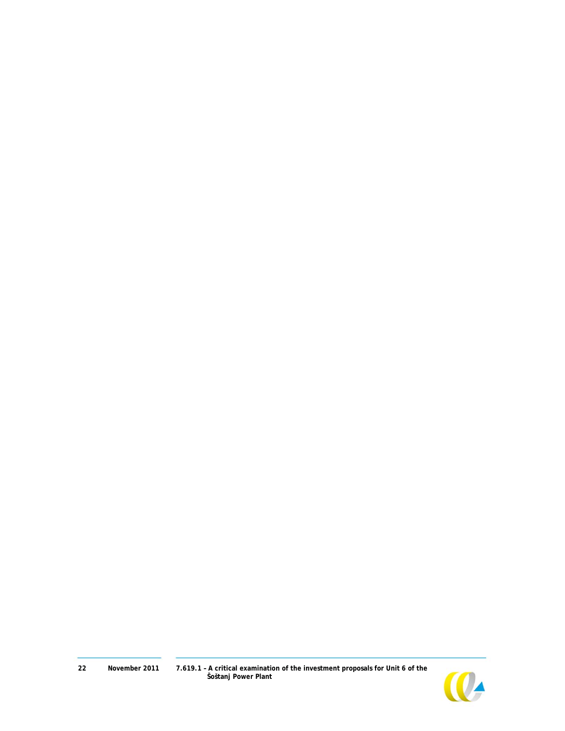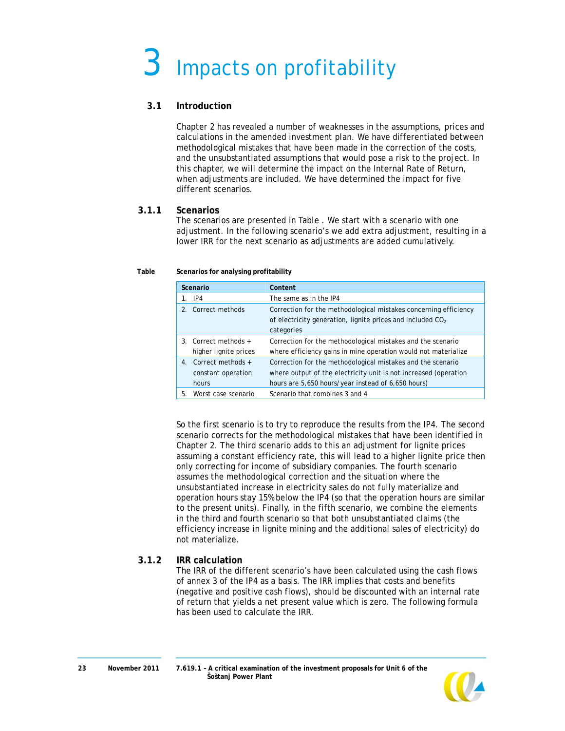# Impacts on profitability

#### **3.1 Introduction**

Chapter 2 has revealed a number of weaknesses in the assumptions, prices and calculations in the amended investment plan. We have differentiated between methodological mistakes that have been made in the correction of the costs, and the unsubstantiated assumptions that would pose a risk to the project. In this chapter, we will determine the impact on the Internal Rate of Return, when adjustments are included. We have determined the impact for five different scenarios.

#### **3.1.1 Scenarios**

The scenarios are presented in Table . We start with a scenario with one adjustment. In the following scenario's we add extra adjustment, resulting in a lower IRR for the next scenario as adjustments are added cumulatively.

#### **Table Scenarios for analysing profitability**

| Scenario                                            | Content                                                                                                                                                                               |
|-----------------------------------------------------|---------------------------------------------------------------------------------------------------------------------------------------------------------------------------------------|
| $1.$ IP4                                            | The same as in the IP4                                                                                                                                                                |
| 2. Correct methods                                  | Correction for the methodological mistakes concerning efficiency<br>of electricity generation, lignite prices and included $CO2$<br>categories                                        |
| 3. Correct methods $+$<br>higher lignite prices     | Correction for the methodological mistakes and the scenario<br>where efficiency gains in mine operation would not materialize                                                         |
| 4. Correct methods +<br>constant operation<br>hours | Correction for the methodological mistakes and the scenario<br>where output of the electricity unit is not increased (operation<br>hours are 5,650 hours/year instead of 6,650 hours) |
| Worst case scenario<br>5.                           | Scenario that combines 3 and 4                                                                                                                                                        |

So the first scenario is to try to reproduce the results from the IP4. The second scenario corrects for the methodological mistakes that have been identified in Chapter 2. The third scenario adds to this an adjustment for lignite prices assuming a constant efficiency rate, this will lead to a higher lignite price then only correcting for income of subsidiary companies. The fourth scenario assumes the methodological correction and the situation where the unsubstantiated increase in electricity sales do not fully materialize and operation hours stay 15% below the IP4 (so that the operation hours are similar to the present units). Finally, in the fifth scenario, we combine the elements in the third and fourth scenario so that both unsubstantiated claims (the efficiency increase in lignite mining and the additional sales of electricity) do not materialize.

#### **3.1.2 IRR calculation**

The IRR of the different scenario's have been calculated using the cash flows of annex 3 of the IP4 as a basis. The IRR implies that costs and benefits (negative and positive cash flows), should be discounted with an internal rate of return that yields a net present value which is zero. The following formula has been used to calculate the IRR.

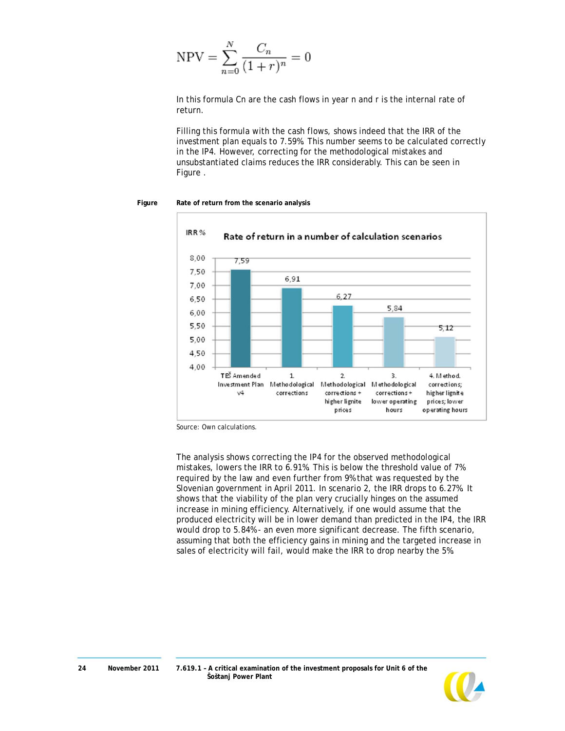$$
NPV = \sum_{n=0}^{N} \frac{C_n}{(1+r)^n} = 0
$$

In this formula Cn are the cash flows in year n and r is the internal rate of return.

Filling this formula with the cash flows, shows indeed that the IRR of the investment plan equals to 7.59%. This number seems to be calculated correctly in the IP4. However, correcting for the methodological mistakes and unsubstantiated claims reduces the IRR considerably. This can be seen in Figure .



**Figure Rate of return from the scenario analysis** 

The analysis shows correcting the IP4 for the observed methodological mistakes, lowers the IRR to 6.91%. This is below the threshold value of 7% required by the law and even further from 9% that was requested by the Slovenian government in April 2011. In scenario 2, the IRR drops to 6.27%. It shows that the viability of the plan very crucially hinges on the assumed increase in mining efficiency. Alternatively, if one would assume that the produced electricity will be in lower demand than predicted in the IP4, the IRR would drop to 5.84% - an even more significant decrease. The fifth scenario, assuming that both the efficiency gains in mining and the targeted increase in sales of electricity will fail, would make the IRR to drop nearby the 5%.



Source: Own calculations.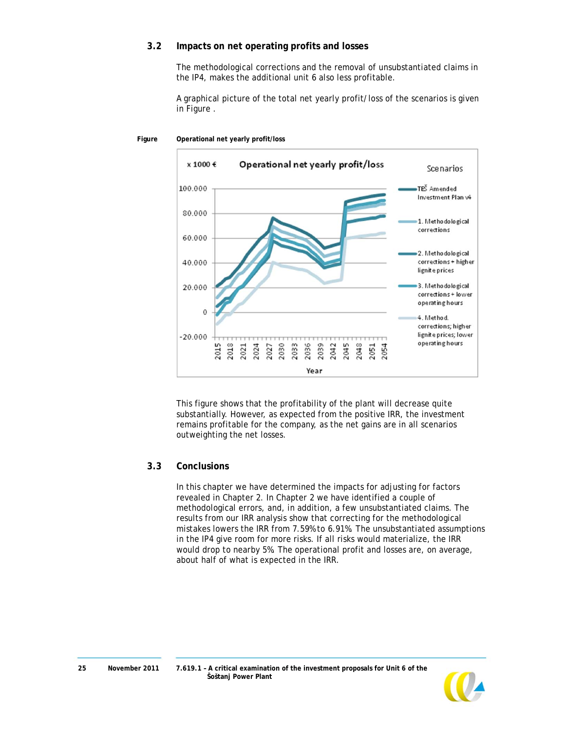#### **3.2 Impacts on net operating profits and losses**

The methodological corrections and the removal of unsubstantiated claims in the IP4, makes the additional unit 6 also less profitable.

A graphical picture of the total net yearly profit/loss of the scenarios is given in Figure .



**Figure Operational net yearly profit/loss** 

This figure shows that the profitability of the plant will decrease quite substantially. However, as expected from the positive IRR, the investment remains profitable for the company, as the net gains are in all scenarios outweighting the net losses.

#### **3.3 Conclusions**

In this chapter we have determined the impacts for adjusting for factors revealed in Chapter 2. In Chapter 2 we have identified a couple of methodological errors, and, in addition, a few unsubstantiated claims. The results from our IRR analysis show that correcting for the methodological mistakes lowers the IRR from 7.59% to 6.91%. The unsubstantiated assumptions in the IP4 give room for more risks. If all risks would materialize, the IRR would drop to nearby 5%. The operational profit and losses are, on average, about half of what is expected in the IRR.

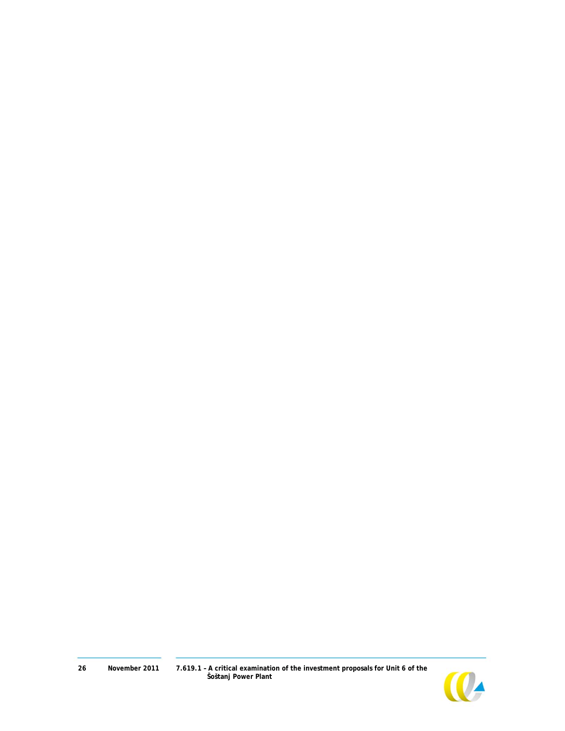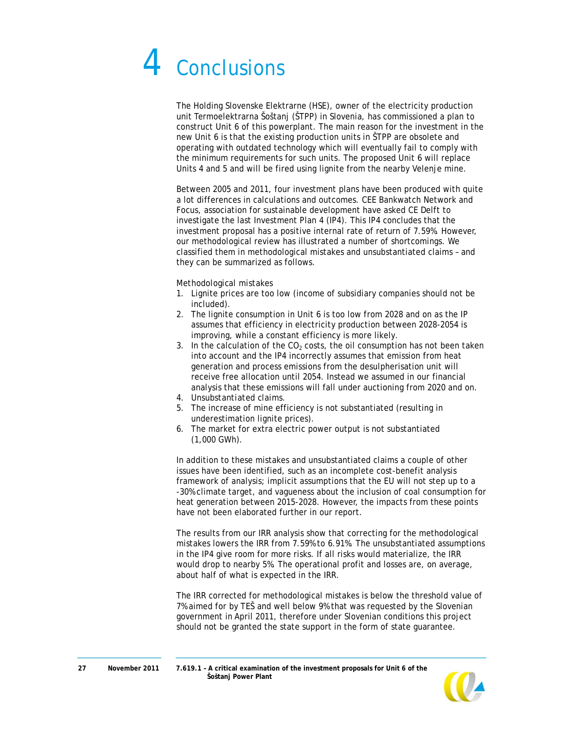# 4 Conclusions

The Holding Slovenske Elektrarne (HSE), owner of the electricity production unit Termoelektrarna Šoštanj (ŠTPP) in Slovenia, has commissioned a plan to construct Unit 6 of this powerplant. The main reason for the investment in the new Unit 6 is that the existing production units in ŠTPP are obsolete and operating with outdated technology which will eventually fail to comply with the minimum requirements for such units. The proposed Unit 6 will replace Units 4 and 5 and will be fired using lignite from the nearby Velenje mine.

Between 2005 and 2011, four investment plans have been produced with quite a lot differences in calculations and outcomes. CEE Bankwatch Network and Focus, association for sustainable development have asked CE Delft to investigate the last Investment Plan 4 (IP4). This IP4 concludes that the investment proposal has a positive internal rate of return of 7.59%. However, our methodological review has illustrated a number of shortcomings. We classified them in methodological mistakes and unsubstantiated claims – and they can be summarized as follows.

#### *Methodological mistakes*

- 1. Lignite prices are too low (income of subsidiary companies should not be included).
- 2. The lignite consumption in Unit 6 is too low from 2028 and on as the IP assumes that efficiency in electricity production between 2028-2054 is improving, while a constant efficiency is more likely.
- 3. In the calculation of the  $CO<sub>2</sub>$  costs, the oil consumption has not been taken into account and the IP4 incorrectly assumes that emission from heat generation and process emissions from the desulpherisation unit will receive free allocation until 2054. Instead we assumed in our financial analysis that these emissions will fall under auctioning from 2020 and on.
- *4. Unsubstantiated claims.*
- 5. The increase of mine efficiency is not substantiated (resulting in underestimation lignite prices).
- 6. The market for extra electric power output is not substantiated (1,000 GWh).

In addition to these mistakes and unsubstantiated claims a couple of other issues have been identified, such as an incomplete cost-benefit analysis framework of analysis; implicit assumptions that the EU will not step up to a -30% climate target, and vagueness about the inclusion of coal consumption for heat generation between 2015-2028. However, the impacts from these points have not been elaborated further in our report.

The results from our IRR analysis show that correcting for the methodological mistakes lowers the IRR from 7.59% to 6.91%. The unsubstantiated assumptions in the IP4 give room for more risks. If all risks would materialize, the IRR would drop to nearby 5%. The operational profit and losses are, on average, about half of what is expected in the IRR.

The IRR corrected for methodological mistakes is below the threshold value of 7% aimed for by TEŠ and well below 9% that was requested by the Slovenian government in April 2011, therefore under Slovenian conditions this project should not be granted the state support in the form of state guarantee.

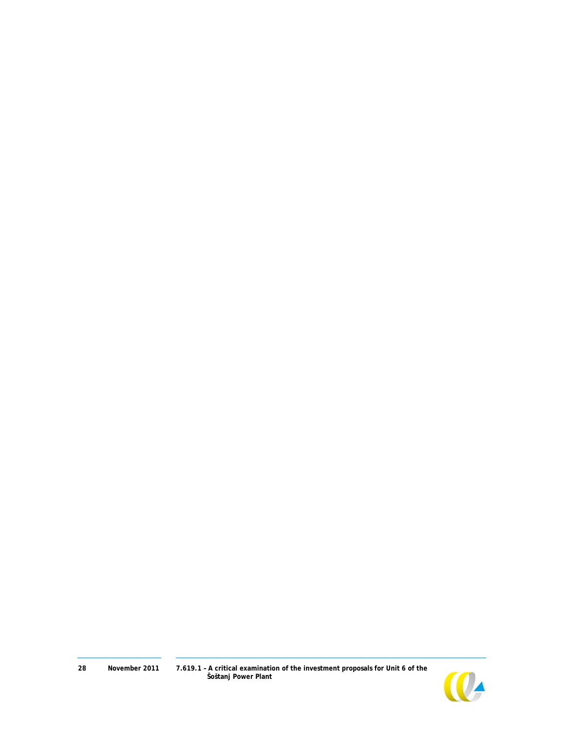**28 November 2011 7.619.1 – A critical examination of the investment proposals for Unit 6 of the Šoštanj Power Plant**